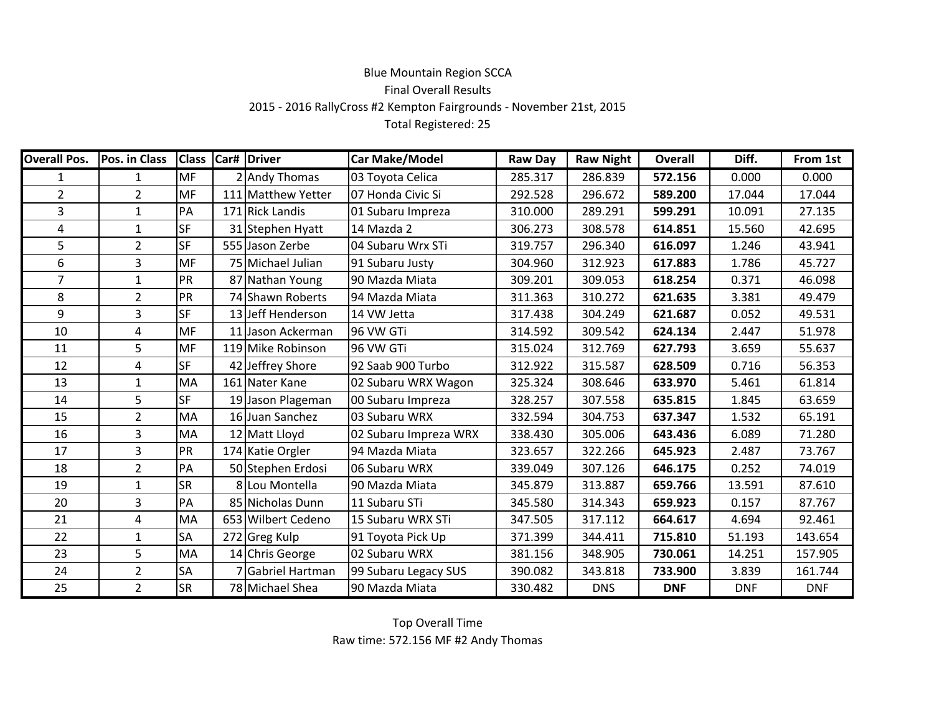## Blue Mountain Region SCCAFinal Overall Results 2015 - 2016 RallyCross #2 Kempton Fairgrounds - November 21st, 2015Total Registered: 25

| <b>Overall Pos.</b> | Pos. in Class  |           | <b>Class Car# Driver</b> | <b>Car Make/Model</b> | <b>Raw Day</b> | <b>Raw Night</b> | Overall    | Diff.      | From 1st   |  |
|---------------------|----------------|-----------|--------------------------|-----------------------|----------------|------------------|------------|------------|------------|--|
| 1                   | 1              | <b>MF</b> | 2 Andy Thomas            | 03 Toyota Celica      | 285.317        | 286.839          | 572.156    | 0.000      | 0.000      |  |
| $\overline{2}$      | $\overline{2}$ | <b>MF</b> | 111 Matthew Yetter       | 07 Honda Civic Si     | 292.528        | 296.672          | 589.200    | 17.044     | 17.044     |  |
| 3                   | 1              | PA        | 171 Rick Landis          | 01 Subaru Impreza     | 310.000        | 289.291          | 599.291    | 10.091     | 27.135     |  |
| 4                   | 1              | <b>SF</b> | 31 Stephen Hyatt         | 14 Mazda 2            | 306.273        | 308.578          | 614.851    | 15.560     | 42.695     |  |
| 5                   | $\overline{2}$ | <b>SF</b> | 555 Jason Zerbe          | 04 Subaru Wrx STi     | 319.757        | 296.340          | 616.097    | 1.246      | 43.941     |  |
| 6                   | $\overline{3}$ | <b>MF</b> | 75 Michael Julian        | 91 Subaru Justy       | 304.960        | 312.923          | 617.883    | 1.786      | 45.727     |  |
| $\overline{7}$      | 1              | PR        | 87 Nathan Young          | 90 Mazda Miata        | 309.201        | 309.053          | 618.254    | 0.371      | 46.098     |  |
| 8                   | $\overline{2}$ | PR        | 74 Shawn Roberts         | 94 Mazda Miata        | 311.363        | 310.272          | 621.635    | 3.381      | 49.479     |  |
| 9                   | 3              | <b>SF</b> | 13 Jeff Henderson        | 14 VW Jetta           | 317.438        | 304.249          | 621.687    | 0.052      | 49.531     |  |
| 10                  | 4              | <b>MF</b> | 11 Jason Ackerman        | 96 VW GTi             | 314.592        | 309.542          | 624.134    | 2.447      | 51.978     |  |
| 11                  | 5              | MF        | 119 Mike Robinson        | 96 VW GTi             | 315.024        | 312.769          | 627.793    | 3.659      | 55.637     |  |
| 12                  | $\overline{4}$ | lsf       | 42 Jeffrey Shore         | 92 Saab 900 Turbo     | 312.922        | 315.587          | 628.509    | 0.716      | 56.353     |  |
| 13                  | $\mathbf{1}$   | <b>MA</b> | 161 Nater Kane           | 02 Subaru WRX Wagon   | 325.324        | 308.646          | 633.970    | 5.461      | 61.814     |  |
| 14                  | 5              | <b>SF</b> | 19 Jason Plageman        | 00 Subaru Impreza     | 328.257        | 307.558          | 635.815    | 1.845      | 63.659     |  |
| 15                  | $\overline{2}$ | <b>MA</b> | 16 Juan Sanchez          | 03 Subaru WRX         | 332.594        | 304.753          | 637.347    | 1.532      | 65.191     |  |
| 16                  | 3              | <b>MA</b> | 12 Matt Lloyd            | 02 Subaru Impreza WRX | 338.430        | 305.006          | 643.436    | 6.089      | 71.280     |  |
| 17                  | $\overline{3}$ | PR        | 174 Katie Orgler         | 94 Mazda Miata        | 323.657        | 322.266          | 645.923    | 2.487      | 73.767     |  |
| 18                  | $\overline{2}$ | PA        | 50 Stephen Erdosi        | 06 Subaru WRX         | 339.049        | 307.126          | 646.175    | 0.252      | 74.019     |  |
| 19                  | 1              | <b>SR</b> | 8 Lou Montella           | 90 Mazda Miata        | 345.879        | 313.887          | 659.766    | 13.591     | 87.610     |  |
| 20                  | $\overline{3}$ | PA        | 85 Nicholas Dunn         | 11 Subaru STi         | 345.580        | 314.343          | 659.923    | 0.157      | 87.767     |  |
| 21                  | 4              | <b>MA</b> | 653 Wilbert Cedeno       | 15 Subaru WRX STi     | 347.505        | 317.112          | 664.617    | 4.694      | 92.461     |  |
| 22                  | 1              | <b>SA</b> | 272 Greg Kulp            | 91 Toyota Pick Up     | 371.399        | 344.411          | 715.810    | 51.193     | 143.654    |  |
| 23                  | 5              | <b>MA</b> | 14 Chris George          | 02 Subaru WRX         | 381.156        | 348.905          | 730.061    | 14.251     | 157.905    |  |
| 24                  | $\overline{2}$ | <b>SA</b> | Gabriel Hartman          | 99 Subaru Legacy SUS  | 390.082        | 343.818          | 733.900    | 3.839      | 161.744    |  |
| 25                  | $\overline{2}$ | <b>SR</b> | 78 Michael Shea          | 90 Mazda Miata        | 330.482        | <b>DNS</b>       | <b>DNF</b> | <b>DNF</b> | <b>DNF</b> |  |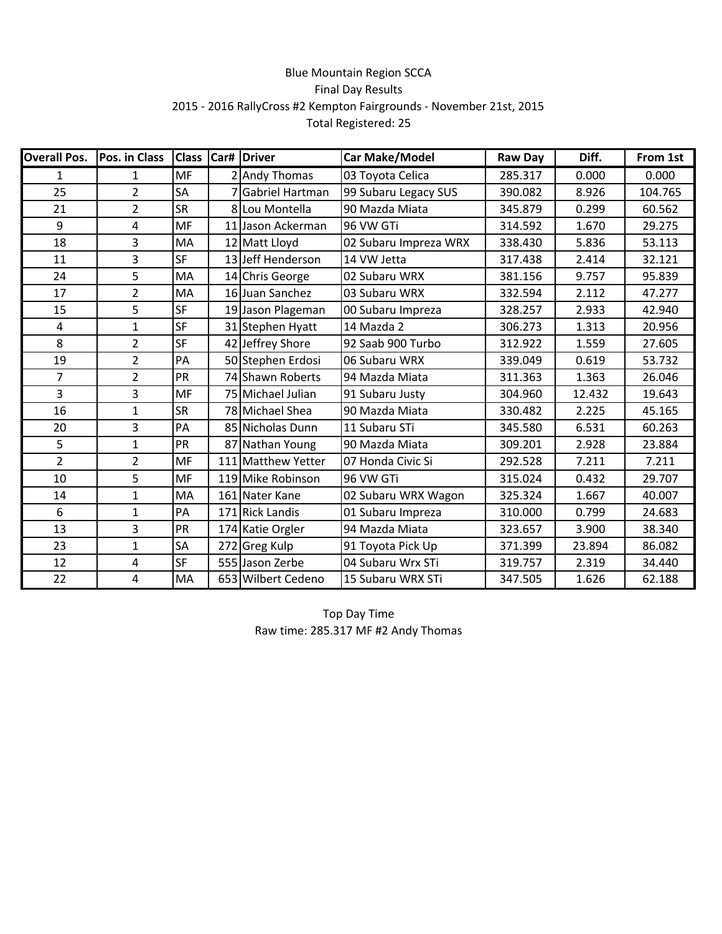## Blue Mountain Region SCCA Final Day Results 2015 - 2016 RallyCross #2 Kempton Fairgrounds - November 21st, 2015 Total Registered: 25

| <b>Overall Pos.</b> | Pos. in Class  | <b>Class</b> |   | Car# Driver        | <b>Car Make/Model</b> | <b>Raw Day</b> | Diff.  | From 1st |
|---------------------|----------------|--------------|---|--------------------|-----------------------|----------------|--------|----------|
| 1                   | $\mathbf{1}$   | <b>MF</b>    |   | 2 Andy Thomas      | 03 Toyota Celica      | 285.317        | 0.000  | 0.000    |
| 25                  | $\overline{2}$ | SA           | 7 | Gabriel Hartman    | 99 Subaru Legacy SUS  | 390.082        | 8.926  | 104.765  |
| 21                  | $\overline{2}$ | <b>SR</b>    |   | 8 Lou Montella     | 90 Mazda Miata        | 345.879        | 0.299  | 60.562   |
| 9                   | 4              | <b>MF</b>    |   | 11 Jason Ackerman  | 96 VW GTi             | 314.592        | 1.670  | 29.275   |
| 18                  | 3              | MA           |   | 12 Matt Lloyd      | 02 Subaru Impreza WRX | 338.430        | 5.836  | 53.113   |
| 11                  | 3              | <b>SF</b>    |   | 13 Jeff Henderson  | 14 VW Jetta           | 317.438        | 2.414  | 32.121   |
| 24                  | 5              | MA           |   | 14 Chris George    | 02 Subaru WRX         | 381.156        | 9.757  | 95.839   |
| 17                  | $\overline{2}$ | МA           |   | 16 Juan Sanchez    | 03 Subaru WRX         | 332.594        | 2.112  | 47.277   |
| 15                  | 5              | <b>SF</b>    |   | 19 Jason Plageman  | 00 Subaru Impreza     | 328.257        | 2.933  | 42.940   |
| 4                   | $\mathbf{1}$   | SF           |   | 31 Stephen Hyatt   | 14 Mazda 2            | 306.273        | 1.313  | 20.956   |
| 8                   | $\overline{2}$ | <b>SF</b>    |   | 42 Jeffrey Shore   | 92 Saab 900 Turbo     | 312.922        | 1.559  | 27.605   |
| 19                  | $\overline{2}$ | PA           |   | 50 Stephen Erdosi  | 06 Subaru WRX         | 339.049        | 0.619  | 53.732   |
| $\overline{7}$      | $\overline{2}$ | PR           |   | 74 Shawn Roberts   | 94 Mazda Miata        | 311.363        | 1.363  | 26.046   |
| $\overline{3}$      | 3              | <b>MF</b>    |   | 75 Michael Julian  | 91 Subaru Justy       | 304.960        | 12.432 | 19.643   |
| 16                  | $\mathbf{1}$   | <b>SR</b>    |   | 78 Michael Shea    | 90 Mazda Miata        | 330.482        | 2.225  | 45.165   |
| 20                  | 3              | PA           |   | 85 Nicholas Dunn   | 11 Subaru STi         | 345.580        | 6.531  | 60.263   |
| 5                   | $\mathbf{1}$   | PR           |   | 87 Nathan Young    | 90 Mazda Miata        | 309.201        | 2.928  | 23.884   |
| $\overline{2}$      | $\overline{2}$ | <b>MF</b>    |   | 111 Matthew Yetter | 07 Honda Civic Si     | 292.528        | 7.211  | 7.211    |
| 10                  | 5              | MF           |   | 119 Mike Robinson  | 96 VW GTi             | 315.024        | 0.432  | 29.707   |
| 14                  | $\mathbf{1}$   | MA           |   | 161 Nater Kane     | 02 Subaru WRX Wagon   | 325.324        | 1.667  | 40.007   |
| 6                   | $\mathbf{1}$   | PA           |   | 171 Rick Landis    | 01 Subaru Impreza     | 310.000        | 0.799  | 24.683   |
| 13                  | 3              | PR           |   | 174 Katie Orgler   | 94 Mazda Miata        | 323.657        | 3.900  | 38.340   |
| 23                  | 1              | SA           |   | 272 Greg Kulp      | 91 Toyota Pick Up     | 371.399        | 23.894 | 86.082   |
| 12                  | 4              | SF           |   | 555 Jason Zerbe    | 04 Subaru Wrx STi     | 319.757        | 2.319  | 34.440   |
| 22                  | 4              | MA           |   | 653 Wilbert Cedeno | 15 Subaru WRX STi     | 347.505        | 1.626  | 62.188   |

Top Day Time Raw time: 285.317 MF #2 Andy Thomas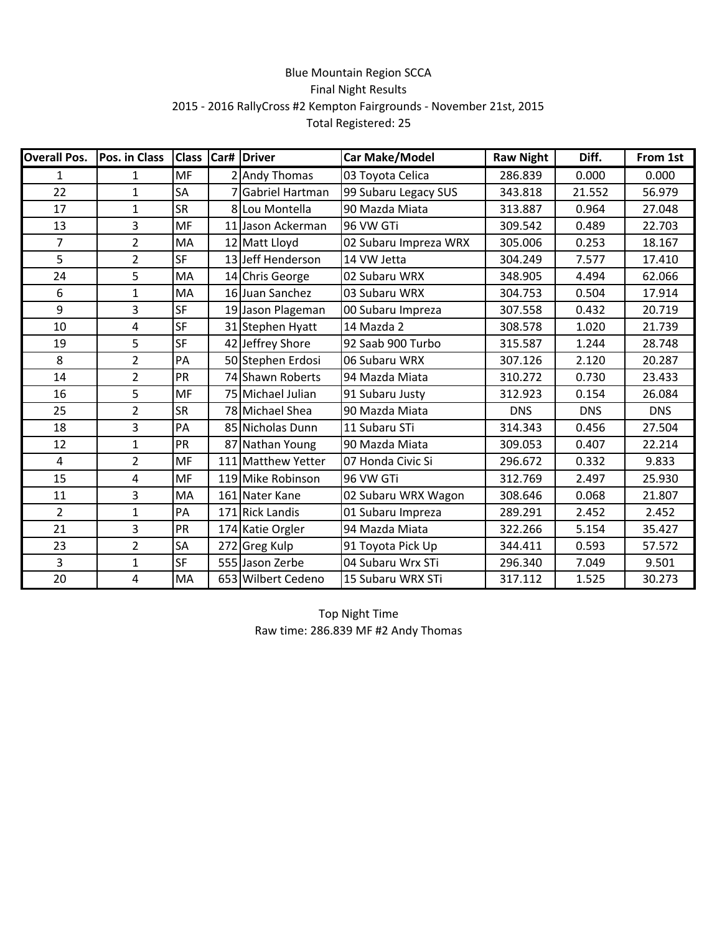## Blue Mountain Region SCCA Final Night Results 2015 - 2016 RallyCross #2 Kempton Fairgrounds - November 21st, 2015 Total Registered: 25

| <b>Overall Pos.</b> | Pos. in Class  | <b>Class</b> | Car# | <b>Driver</b>      | Car Make/Model        | <b>Raw Night</b> | Diff.      | From 1st   |
|---------------------|----------------|--------------|------|--------------------|-----------------------|------------------|------------|------------|
| $\mathbf{1}$        | $\mathbf{1}$   | <b>MF</b>    |      | 2 Andy Thomas      | 03 Toyota Celica      | 286.839          | 0.000      | 0.000      |
| 22                  | $\mathbf{1}$   | SA           |      | Gabriel Hartman    | 99 Subaru Legacy SUS  | 343.818          | 21.552     | 56.979     |
| 17                  | 1              | <b>SR</b>    | 8    | Lou Montella       | 90 Mazda Miata        | 313.887          | 0.964      | 27.048     |
| 13                  | 3              | <b>MF</b>    |      | 11 Jason Ackerman  | 96 VW GTi             | 309.542          | 0.489      | 22.703     |
| $\overline{7}$      | $\overline{2}$ | MA           |      | 12 Matt Lloyd      | 02 Subaru Impreza WRX | 305.006          | 0.253      | 18.167     |
| 5                   | $\overline{2}$ | <b>SF</b>    |      | 13 Jeff Henderson  | 14 VW Jetta           | 304.249          | 7.577      | 17.410     |
| 24                  | 5              | MA           |      | 14 Chris George    | 02 Subaru WRX         | 348.905          | 4.494      | 62.066     |
| 6                   | $\mathbf{1}$   | MA           |      | 16 Juan Sanchez    | 03 Subaru WRX         | 304.753          | 0.504      | 17.914     |
| 9                   | 3              | <b>SF</b>    |      | 19 Jason Plageman  | 00 Subaru Impreza     | 307.558          | 0.432      | 20.719     |
| 10                  | 4              | <b>SF</b>    |      | 31 Stephen Hyatt   | 14 Mazda 2            | 308.578          | 1.020      | 21.739     |
| 19                  | 5              | <b>SF</b>    |      | 42 Jeffrey Shore   | 92 Saab 900 Turbo     | 315.587          | 1.244      | 28.748     |
| 8                   | $\overline{2}$ | PA           |      | 50 Stephen Erdosi  | 06 Subaru WRX         | 307.126          | 2.120      | 20.287     |
| 14                  | $\overline{2}$ | PR           |      | 74 Shawn Roberts   | 94 Mazda Miata        | 310.272          | 0.730      | 23.433     |
| 16                  | 5              | <b>MF</b>    |      | 75 Michael Julian  | 91 Subaru Justy       | 312.923          | 0.154      | 26.084     |
| 25                  | $\overline{2}$ | <b>SR</b>    |      | 78 Michael Shea    | 90 Mazda Miata        | <b>DNS</b>       | <b>DNS</b> | <b>DNS</b> |
| 18                  | 3              | PA           |      | 85 Nicholas Dunn   | 11 Subaru STi         | 314.343          | 0.456      | 27.504     |
| 12                  | $\mathbf{1}$   | PR           |      | 87 Nathan Young    | 90 Mazda Miata        | 309.053          | 0.407      | 22.214     |
| 4                   | $\overline{2}$ | <b>MF</b>    |      | 111 Matthew Yetter | 07 Honda Civic Si     | 296.672          | 0.332      | 9.833      |
| 15                  | 4              | MF           |      | 119 Mike Robinson  | 96 VW GTi             | 312.769          | 2.497      | 25.930     |
| 11                  | 3              | MA           |      | 161 Nater Kane     | 02 Subaru WRX Wagon   | 308.646          | 0.068      | 21.807     |
| $\overline{2}$      | $\mathbf{1}$   | PA           |      | 171 Rick Landis    | 01 Subaru Impreza     | 289.291          | 2.452      | 2.452      |
| 21                  | 3              | PR           |      | 174 Katie Orgler   | 94 Mazda Miata        | 322.266          | 5.154      | 35.427     |
| 23                  | $\overline{2}$ | SA           |      | 272 Greg Kulp      | 91 Toyota Pick Up     | 344.411          | 0.593      | 57.572     |
| $\overline{3}$      | $\mathbf{1}$   | SF           |      | 555 Jason Zerbe    | 04 Subaru Wrx STi     | 296.340          | 7.049      | 9.501      |
| 20                  | 4              | MA           |      | 653 Wilbert Cedeno | 15 Subaru WRX STi     | 317.112          | 1.525      | 30.273     |

Top Night Time Raw time: 286.839 MF #2 Andy Thomas